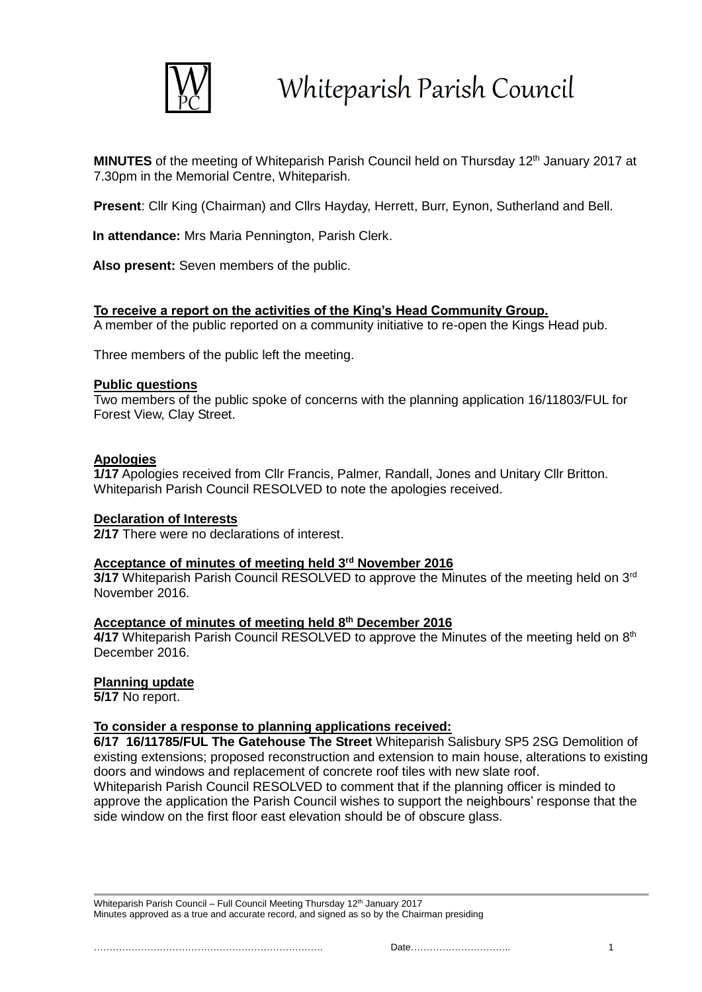

Whiteparish Parish Council

**MINUTES** of the meeting of Whiteparish Parish Council held on Thursday 12<sup>th</sup> January 2017 at 7.30pm in the Memorial Centre, Whiteparish.

**Present**: Cllr King (Chairman) and Cllrs Hayday, Herrett, Burr, Eynon, Sutherland and Bell.

**In attendance:** Mrs Maria Pennington, Parish Clerk.

**Also present:** Seven members of the public.

## **To receive a report on the activities of the King's Head Community Group.**

A member of the public reported on a community initiative to re-open the Kings Head pub.

Three members of the public left the meeting.

#### **Public questions**

Two members of the public spoke of concerns with the planning application 16/11803/FUL for Forest View, Clay Street.

#### **Apologies**

**1/17** Apologies received from Cllr Francis, Palmer, Randall, Jones and Unitary Cllr Britton. Whiteparish Parish Council RESOLVED to note the apologies received.

#### **Declaration of Interests**

**2/17** There were no declarations of interest.

## **Acceptance of minutes of meeting held 3rd November 2016**

**3/17** Whiteparish Parish Council RESOLVED to approve the Minutes of the meeting held on 3<sup>rd</sup> November 2016.

#### **Acceptance of minutes of meeting held 8 th December 2016**

4/17 Whiteparish Parish Council RESOLVED to approve the Minutes of the meeting held on 8<sup>th</sup> December 2016.

#### **Planning update**

**5/17** No report.

## **To consider a response to planning applications received:**

**6/17 16/11785/FUL The Gatehouse The Street** Whiteparish Salisbury SP5 2SG Demolition of existing extensions; proposed reconstruction and extension to main house, alterations to existing doors and windows and replacement of concrete roof tiles with new slate roof. Whiteparish Parish Council RESOLVED to comment that if the planning officer is minded to approve the application the Parish Council wishes to support the neighbours' response that the side window on the first floor east elevation should be of obscure glass.

Whiteparish Parish Council – Full Council Meeting Thursday 12<sup>th</sup> January 2017 Minutes approved as a true and accurate record, and signed as so by the Chairman presiding

………………………………………………………………. Date………………………….. 1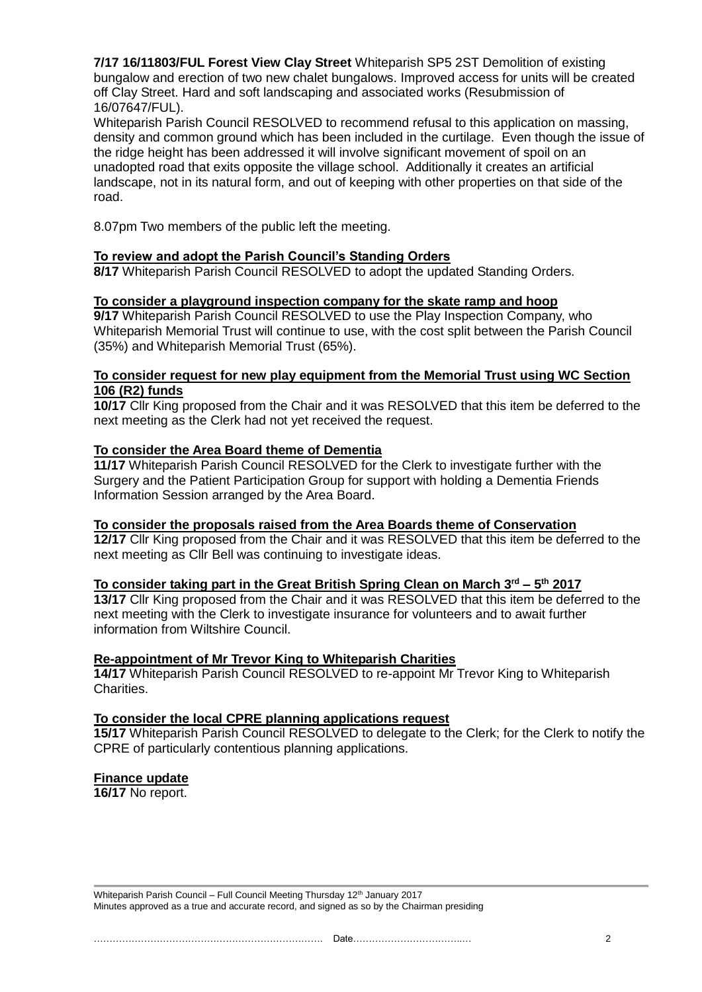**7/17 16/11803/FUL Forest View Clay Street** Whiteparish SP5 2ST Demolition of existing bungalow and erection of two new chalet bungalows. Improved access for units will be created off Clay Street. Hard and soft landscaping and associated works (Resubmission of 16/07647/FUL).

Whiteparish Parish Council RESOLVED to recommend refusal to this application on massing, density and common ground which has been included in the curtilage. Even though the issue of the ridge height has been addressed it will involve significant movement of spoil on an unadopted road that exits opposite the village school. Additionally it creates an artificial landscape, not in its natural form, and out of keeping with other properties on that side of the road.

8.07pm Two members of the public left the meeting.

## **To review and adopt the Parish Council's Standing Orders**

**8/17** Whiteparish Parish Council RESOLVED to adopt the updated Standing Orders.

## **To consider a playground inspection company for the skate ramp and hoop**

**9/17** Whiteparish Parish Council RESOLVED to use the Play Inspection Company, who Whiteparish Memorial Trust will continue to use, with the cost split between the Parish Council (35%) and Whiteparish Memorial Trust (65%).

## **To consider request for new play equipment from the Memorial Trust using WC Section 106 (R2) funds**

**10/17** Cllr King proposed from the Chair and it was RESOLVED that this item be deferred to the next meeting as the Clerk had not yet received the request.

## **To consider the Area Board theme of Dementia**

**11/17** Whiteparish Parish Council RESOLVED for the Clerk to investigate further with the Surgery and the Patient Participation Group for support with holding a Dementia Friends Information Session arranged by the Area Board.

#### **To consider the proposals raised from the Area Boards theme of Conservation**

**12/17** Cllr King proposed from the Chair and it was RESOLVED that this item be deferred to the next meeting as Cllr Bell was continuing to investigate ideas.

#### **To consider taking part in the Great British Spring Clean on March 3rd – 5 th 2017**

**13/17** Cllr King proposed from the Chair and it was RESOLVED that this item be deferred to the next meeting with the Clerk to investigate insurance for volunteers and to await further information from Wiltshire Council.

#### **Re-appointment of Mr Trevor King to Whiteparish Charities**

**14/17** Whiteparish Parish Council RESOLVED to re-appoint Mr Trevor King to Whiteparish Charities.

#### **To consider the local CPRE planning applications request**

**15/17** Whiteparish Parish Council RESOLVED to delegate to the Clerk; for the Clerk to notify the CPRE of particularly contentious planning applications.

#### **Finance update**

**16/17** No report.

Whiteparish Parish Council – Full Council Meeting Thursday 12<sup>th</sup> January 2017 Minutes approved as a true and accurate record, and signed as so by the Chairman presiding